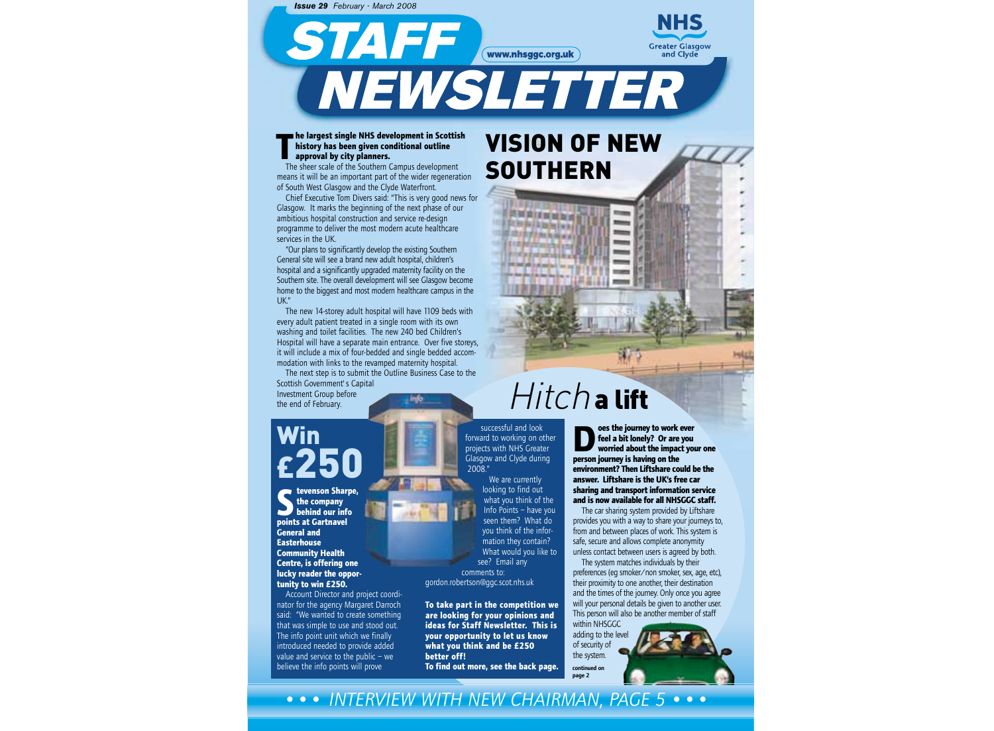*Issue 29 February - March 2008*

STAFF WWW.nhsggc.org.uk



#### **The largest single NHS development in Scottish**<br> **The sheer scale of the Southern Campus development**<br>
The sheer scale of the Southern Campus development **history has been given conditional outline approval by city planners.**

means it will be an important part of the wider regeneration of South West Glasgow and the Clyde Waterfront.

Chief Executive Tom Divers said: "This is very good news for Glasgow. It marks the beginning of the next phase of our ambitious hospital construction and service re-design programme to deliver the most modern acute healthcare services in the UK.

"Our plans to significantly develop the existing Southern General site will see a brand new adult hospital, children's hospital and a significantly upgraded maternity facility on the Southern site. The overall development will see Glasgow become home to the biggest and most modern healthcare campus in the UK."

The new 14-storey adult hospital will have 1109 beds with every adult patient treated in a single room with its own washing and toilet facilities. The new 240 bed Children's Hospital will have a separate main entrance. Over five storeys, it will include a mix of four-bedded and single bedded accommodation with links to the revamped maternity hospital.

The next step is to submit the Outline Business Case to the Scottish Government's Capital Investment Group before  $. In 6$ the end of February.

# Win  $\epsilon$ 250

**State State State State State State State State State State Space State State State Space State State State State State State State State State State State State State State State State State State State State State State the company behind our info General and Easterhouse Community Health Centre, is offering one lucky reader the opportunity to win £250.**

Account Director and project coordinator for the agency Margaret Darroch said: "We wanted to create something that was simple to use and stood out. The info point unit which we finally introduced needed to provide added value and service to the public – we believe the info points will prove



**I RM RIAM M RM The black of the Allen Printing payment distant** 

# Hitch a lift

**Does the journey to work ever**<br> **person journey is having on the**<br> **person journey is having on the feel a bit lonely? Or are you worried about the impact your one environment? Then Liftshare could be the answer. Liftshare is the UK's free car sharing and transport information service and is now available for all NHSGGC staff.** 

The car sharing system provided by Liftshare provides you with a way to share your journeys to, from and between places of work. This system is safe, secure and allows complete anonymity unless contact between users is agreed by both.

**Greater Glasgow** and Clyde

The system matches individuals by their preferences (eg smoker/non smoker, sex, age, etc), their proximity to one another, their destination and the times of the journey. Only once you agree will your personal details be given to another user. This person will also be another member of staff within NHSGGC

adding to the level of security of the system.

continued on page 2



#### *••• INTERVIEW WITH NEW CHAIRMAN, PAGE 5 •••*

**To find out more, see the back page.**

successful and look forward to working on other projects with NHS Greater Glasgow and Clyde during

> We are currently looking to find out what you think of the Info Points – have you seen them? What do you think of the information they contain? What would you like to see? Email any

2008."

comments to: gordon.robertson@ggc.scot.nhs.uk

**better off!**

**To take part in the competition we are looking for your opinions and ideas for Staff Newsletter. This is your opportunity to let us know what you think and be £250**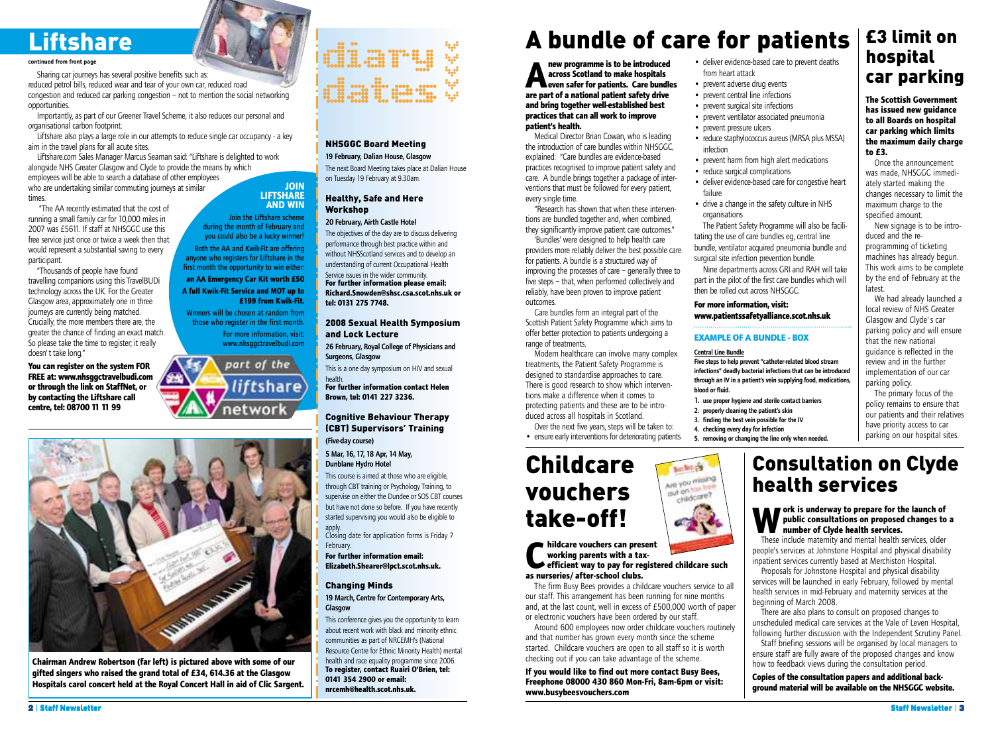# **Liftshare**

#### continued from front page

Sharing car journeys has several positive benefits such as:

reduced petrol bills, reduced wear and tear of your own car, reduced road congestion and reduced car parking congestion – not to mention the social networking opportunities.

Importantly, as part of our Greener Travel Scheme, it also reduces our personal and organisational carbon footprint.

Liftshare also plays a large role in our attempts to reduce single car occupancy - a key aim in the travel plans for all acute sites.

Liftshare.com Sales Manager Marcus Seaman said: "Liftshare is delighted to work alongside NHS Greater Glasgow and Clyde to provide the means by which employees will be able to search a database of other employees

who are undertaking similar commuting journeys at similar times. "The AA recently estimated that the cost of

running a small family car for 10,000 miles in 2007 was £5611. If staff at NHSGGC use this free service just once or twice a week then that would represent a substantial saving to every participant.

"Thousands of people have found travelling companions using this TravelBUDi technology across the UK. For the Greater Glasgow area, approximately one in three journeys are currently being matched. Crucially, the more members there are, the greater the chance of finding an exact match. So please take the time to register; it really doesn't take long."

**You can register on the system FOR FREE at: www.nhsggctravelbudi.com or through the link on StaffNet, or by contacting the Liftshare call centre, tel: 08700 11 11 99**



**Chairman Andrew Robertson (far left) is pictured above with some of our gifted singers who raised the grand total of £34, 614.36 at the Glasgow Hospitals carol concert held at the Royal Concert Hall in aid of Clic Sargent.**



#### NHSGGC Board Meeting 19 February, Dalian House, Glasgow

The next Board Meeting takes place at Dalian House on Tuesday 19 February at 9.30am.

#### Healthy, Safe and Here Workshop

**JOIN LIFTSHARE AND WIN**

Join the Liftshare scheme during the month of February and you could also be a lucky winner! Both the AA and Kwik-Fit are offering anyone who registers for Liftshare in the first month the opportunity to win either: **an AA Emergency Car Kit worth £50 A full Kwik-Fit Service and MOT up to**

**£199 from Kwik-Fit.**

Winners will be chosen at random from those who register in the first month. For more information, visit: www.nhsggctravelbudi.com

part of the

networ

liftshare

#### 20 February, Airth Castle Hotel

The objectives of the day are to discuss delivering performance through best practice within and without NHSScotland services and to develop an understanding of current Occupational Health Service issues in the wider community. **For further information please email:**

**Richard.Snowden@shsc.csa.scot.nhs.uk or tel: 0131 275 7748.**

#### 2008 Sexual Health Symposium and Lock Lecture

26 February, Royal College of Physicians and Surgeons, Glasgow

This is a one day symposium on HIV and sexual health.

**For further information contact Helen Brown, tel: 0141 227 3236.**

#### Cognitive Behaviour Therapy (CBT) Supervisors' Training (Five-day course)

5 Mar, 16, 17, 18 Apr, 14 May,

Dunblane Hydro Hotel

This course is aimed at those who are eligible, through CBT training or Psychology Training, to supervise on either the Dundee or SOS CBT courses but have not done so before. If you have recently started supervising you would also be eligible to

apply. Closing date for application forms is Friday 7 February.

**For further information email: Elizabeth.Shearer@lpct.scot.nhs.uk.**

#### Changing Minds

19 March, Centre for Contemporary Arts, **Glasgow** 

This conference gives you the opportunity to learn about recent work with black and minority ethnic communities as part of NRCEMH's (National Resource Centre for Ethnic Minority Health) mental health and race equality programme since 2006. **To register, contact Ruairi O'Brien, tel: 0141 354 2900 or email:**

# **nrcemh@health.scot.nhs.uk.**

# A bundle of care for patients

**Algeberry and School School School School School School School School School School School School School School School School School School School School School School School School School School School School School Scho across Scotland to make hospitals even safer for patients. Care bundles are part of a national patient safety drive and bring together well-established best practices that can all work to improve patient's health.**

Medical Director Brian Cowan, who is leading the introduction of care bundles within NHSGGC, explained: "Care bundles are evidence-based practices recognised to improve patient safety and care. A bundle brings together a package of interventions that must be followed for every patient, every single time.

"Research has shown that when these interventions are bundled together and, when combined, they significantly improve patient care outcomes."

'Bundles' were designed to help health care providers more reliably deliver the best possible care for patients. A bundle is a structured way of improving the processes of care – generally three to five steps – that, when performed collectively and reliably, have been proven to improve patient outcomes.

Care bundles form an integral part of the Scottish Patient Safety Programme which aims to offer better protection to patients undergoing a range of treatments.

Modern healthcare can involve many complex treatments, the Patient Safety Programme is designed to standardise approaches to care. There is good research to show which interventions make a difference when it comes to protecting patients and these are to be introduced across all hospitals in Scotland.

Over the next five years, steps will be taken to: • ensure early interventions for deteriorating patients

# Childcare vouchers take-off!

#### **Childcare vouchers can present<br>
working parents with a tax-<br>
efficient way to pay for regist<br>
as nurseries/after-school clubs. working parents with a taxefficient way to pay for registered childcare such**

The firm Busy Bees provides a childcare vouchers service to all our staff. This arrangement has been running for nine months and, at the last count, well in excess of £500,000 worth of paper or electronic vouchers have been ordered by our staff.

Around 600 employees now order childcare vouchers routinely and that number has grown every month since the scheme started. Childcare vouchers are open to all staff so it is worth checking out if you can take advantage of the scheme.

**If you would like to find out more contact Busy Bees, Freephone 08000 430 860 Mon-Fri, 8am-6pm or visit: www.busybeesvouchers.com** 

#### • deliver evidence-based care to prevent deaths from heart attack • prevent adverse drug events

- prevent central line infections
- prevent surgical site infections
- prevent ventilator associated pneumonia
- prevent pressure ulcers
- reduce staphylococcus aureus (MRSA plus MSSA) infection
- prevent harm from high alert medications
- reduce surgical complications
- deliver evidence-based care for congestive heart failure
- drive a change in the safety culture in NHS organisations

The Patient Safety Programme will also be facilitating the use of care bundles eg, central line bundle, ventilator acquired pneumonia bundle and surgical site infection prevention bundle.

Nine departments across GRI and RAH will take part in the pilot of the first care bundles which will then be rolled out across NHSGGC.

#### **For more information, visit: www.patientssafetyalliance.scot.nhs.uk**

#### **EXAMPLE OF A BUNDLE - BOX**

#### Central Line Bundle

Five steps to help prevent "catheter-related blood stream infections" deadly bacterial infections that can be introduced through an IV in a patient's vein supplying food, medications, blood or fluid.

- 1. use proper hygiene and sterile contact barriers
- 2. properly cleaning the patient's skin
- 3. finding the best vein possible for the IV
- 4. checking every day for infection 5. removing or changing the line only when needed.
- 

# Consultation on Clyde health services

**The Scottish Government has issued new guidance to all Boards on hospital car parking which limits the maximum daily charge**

car parking

£3 limit on

hospital

Once the announcement was made, NHSGGC immediately started making the changes necessary to limit the maximum charge to the specified amount.

New signage is to be intro-

We had already launched a local review of NHS Greater Glasgow and Clyde's car parking policy and will ensure that the new national guidance is reflected in the review and in the further implementation of our car

The primary focus of the policy remains to ensure that our patients and their relatives have priority access to car parking on our hospital sites.

duced and the reprogramming of ticketing machines has already begun. This work aims to be complete by the end of February at the

**to £3.**

latest.

parking policy.

#### **Work is underway to prepare for the launch of public consultations on proposed changes to number of Clyde health services.**<br>These include maternity and mental health services, older **public consultations on proposed changes to a**

These include maternity and mental health services, older people's services at Johnstone Hospital and physical disability inpatient services currently based at Merchiston Hospital.

Proposals for Johnstone Hospital and physical disability services will be launched in early February, followed by mental health services in mid-February and maternity services at the beginning of March 2008.

There are also plans to consult on proposed changes to unscheduled medical care services at the Vale of Leven Hospital, following further discussion with the Independent Scrutiny Panel.

Staff briefing sessions will be organised by local managers to ensure staff are fully aware of the proposed changes and know how to feedback views during the consultation period.

**Copies of the consultation papers and additional background material will be available on the NHSGGC website.**

Barton pa Are you missing out on tax free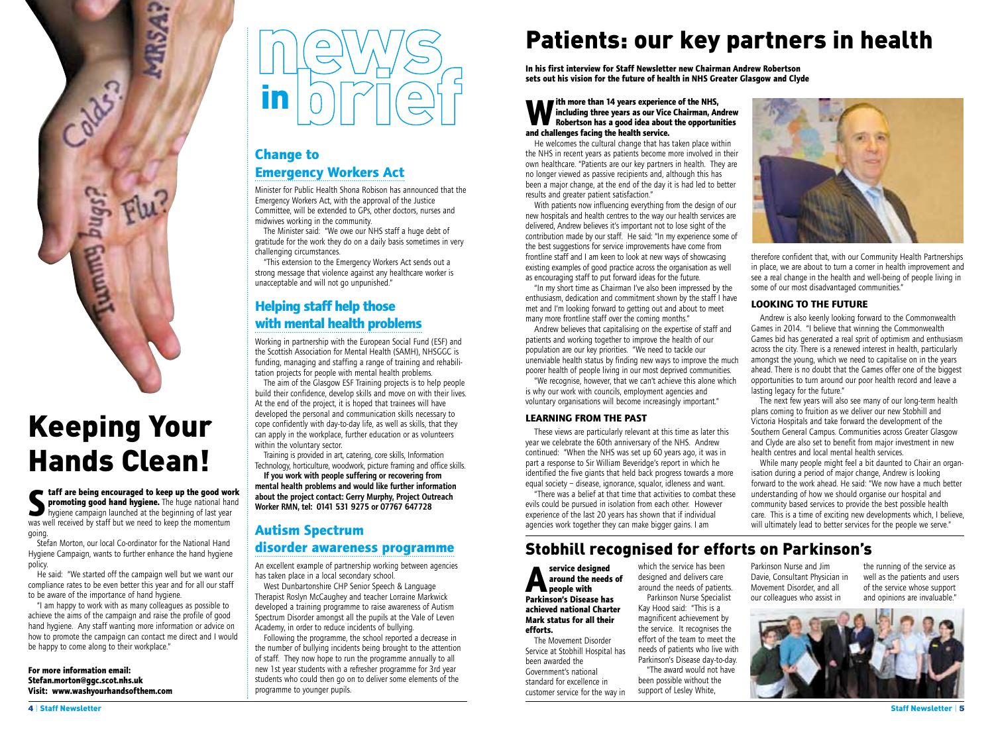

# Keeping Your Hands Clean!

**Staff are being encouraged to keep up the good work promoting good hand hygiene.** The huge national hand hygiene campaign launched at the beginning of last year was well received by staff but we need to keep the momentum going.

Stefan Morton, our local Co-ordinator for the National Hand Hygiene Campaign, wants to further enhance the hand hygiene policy.

He said: "We started off the campaign well but we want our compliance rates to be even better this year and for all our staff to be aware of the importance of hand hygiene.

"I am happy to work with as many colleagues as possible to achieve the aims of the campaign and raise the profile of good hand hygiene. Any staff wanting more information or advice on how to promote the campaign can contact me direct and I would be happy to come along to their workplace."

**For more information email: Stefan.morton@ggc.scot.nhs.uk Visit: www.washyourhandsofthem.com**

#### **Change to Emergency Workers Act**

Minister for Public Health Shona Robison has announced that the Emergency Workers Act, with the approval of the Justice Committee, will be extended to GPs, other doctors, nurses and midwives working in the community.

The Minister said: "We owe our NHS staff a huge debt of gratitude for the work they do on a daily basis sometimes in very challenging circumstances.

"This extension to the Emergency Workers Act sends out a strong message that violence against any healthcare worker is unacceptable and will not go unpunished."

#### **Helping staff help those with mental health problems**

Working in partnership with the European Social Fund (ESF) and the Scottish Association for Mental Health (SAMH), NHSGGC is funding, managing and staffing a range of training and rehabilitation projects for people with mental health problems.

The aim of the Glasgow ESF Training projects is to help people build their confidence, develop skills and move on with their lives. At the end of the project, it is hoped that trainees will have developed the personal and communication skills necessary to cope confidently with day-to-day life, as well as skills, that they can apply in the workplace, further education or as volunteers within the voluntary sector.

Training is provided in art, catering, core skills, Information Technology, horticulture, woodwork, picture framing and office skills.

If you work with people suffering or recovering from mental health problems and would like further information about the project contact: Gerry Murphy, Project Outreach Worker RMN, tel: 0141 531 9275 or 07767 647728

#### **Autism Spectrum**

#### **disorder awareness programme**

An excellent example of partnership working between agencies has taken place in a local secondary school.

West Dunbartonshire CHP Senior Speech & Language Therapist Roslyn McCaughey and teacher Lorraine Markwick developed a training programme to raise awareness of Autism Spectrum Disorder amongst all the pupils at the Vale of Leven Academy, in order to reduce incidents of bullying.

Following the programme, the school reported a decrease in the number of bullying incidents being brought to the attention of staff. They now hope to run the programme annually to all new 1st year students with a refresher programme for 3rd year students who could then go on to deliver some elements of the programme to younger pupils.

# Patients: our key partners in health

**In his first interview for Staff Newsletter new Chairman Andrew Robertson sets out his vision for the future of health in NHS Greater Glasgow and Clyde**

#### **We fith more than 14 years experience of the NHS,<br>including three years as our Vice Chairman, Area Robertson has a good idea about the opportur<br>and challenges facing the health service. including three years as our Vice Chairman, Andrew Robertson has a good idea about the opportunities and challenges facing the health service.**

He welcomes the cultural change that has taken place within the NHS in recent years as patients become more involved in their own healthcare. "Patients are our key partners in health. They are no longer viewed as passive recipients and, although this has been a major change, at the end of the day it is had led to better results and greater patient satisfaction."

With patients now influencing everything from the design of our new hospitals and health centres to the way our health services are delivered, Andrew believes it's important not to lose sight of the contribution made by our staff. He said: "In my experience some of the best suggestions for service improvements have come from frontline staff and I am keen to look at new ways of showcasing existing examples of good practice across the organisation as well as encouraging staff to put forward ideas for the future.

"In my short time as Chairman I've also been impressed by the enthusiasm, dedication and commitment shown by the staff I have met and I'm looking forward to getting out and about to meet many more frontline staff over the coming months."

Andrew believes that capitalising on the expertise of staff and patients and working together to improve the health of our population are our key priorities. "We need to tackle our unenviable health status by finding new ways to improve the much poorer health of people living in our most deprived communities.

"We recognise, however, that we can't achieve this alone which is why our work with councils, employment agencies and voluntary organisations will become increasingly important."

#### **LEARNING FROM THE PAST**

These views are particularly relevant at this time as later this year we celebrate the 60th anniversary of the NHS. Andrew continued: "When the NHS was set up 60 years ago, it was in part a response to Sir William Beveridge's report in which he identified the five giants that held back progress towards a more equal society – disease, ignorance, squalor, idleness and want.

"There was a belief at that time that activities to combat these evils could be pursued in isolation from each other. However experience of the last 20 years has shown that if individual agencies work together they can make bigger gains. I am

#### Stobhill recognised for efforts on Parkinson's

**Aservice designed<br>
around the need:<br>
Parkinson's Disease ha around the needs of Parkinson's Disease has achieved national Charter Mark status for all their efforts.**

The Movement Disorder Service at Stobhill Hospital has been awarded the Government's national standard for excellence in customer service for the way in

which the service has been designed and delivers care around the needs of patients. Parkinson Nurse Specialist Kay Hood said: "This is a magnificent achievement by the service. It recognises the effort of the team to meet the needs of patients who live with Parkinson's Disease day-to-day. "The award would not have

been possible without the support of Lesley White,

Parkinson Nurse and Jim Davie, Consultant Physician in Movement Disorder, and all our colleagues who assist in

the running of the service as well as the patients and users of the service whose support and opinions are invaluable."





therefore confident that, with our Community Health Partnerships in place, we are about to turn a corner in health improvement and see a real change in the health and well-being of people living in some of our most disadvantaged communities."

#### **LOOKING TO THE FUTURE**

Andrew is also keenly looking forward to the Commonwealth Games in 2014. "I believe that winning the Commonwealth Games bid has generated a real sprit of optimism and enthusiasm across the city. There is a renewed interest in health, particularly amongst the young, which we need to capitalise on in the years ahead. There is no doubt that the Games offer one of the biggest opportunities to turn around our poor health record and leave a lasting legacy for the future."

The next few years will also see many of our long-term health plans coming to fruition as we deliver our new Stobhill and Victoria Hospitals and take forward the development of the Southern General Campus. Communities across Greater Glasgow and Clyde are also set to benefit from major investment in new health centres and local mental health services.

While many people might feel a bit daunted to Chair an organisation during a period of major change, Andrew is looking forward to the work ahead. He said: "We now have a much better understanding of how we should organise our hospital and community based services to provide the best possible health care. This is a time of exciting new developments which, I believe, will ultimately lead to better services for the people we serve."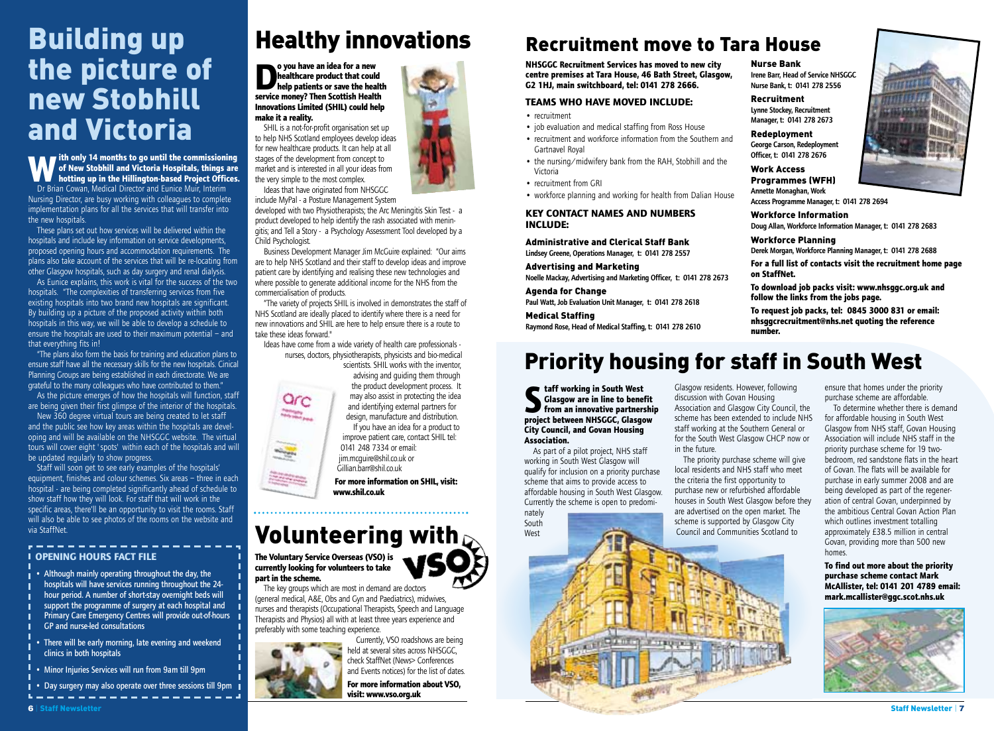# Building up the picture of new Stobhill and Victoria

**With only 14 months to go until the commissioning of New Stobhill and Victoria Hospitals, things are hotting up in the Hillington-based Project Offices.**  Dr Brian Cowan, Medical Director and Eunice Muir, Interim Nursing Director, are busy working with colleagues to complete implementation plans for all the services that will transfer into the new hospitals.

These plans set out how services will be delivered within the hospitals and include key information on service developments, proposed opening hours and accommodation requirements. The plans also take account of the services that will be re-locating from other Glasgow hospitals, such as day surgery and renal dialysis.

As Eunice explains, this work is vital for the success of the two hospitals. "The complexities of transferring services from five existing hospitals into two brand new hospitals are significant. By building up a picture of the proposed activity within both hospitals in this way, we will be able to develop a schedule to ensure the hospitals are used to their maximum potential – and that everything fits in!

"The plans also form the basis for training and education plans to ensure staff have all the necessary skills for the new hospitals. Cinical Planning Groups are being established in each directorate. We are grateful to the many colleagues who have contributed to them."

As the picture emerges of how the hospitals will function, staff are being given their first glimpse of the interior of the hospitals.

New 360 degree virtual tours are being created to let staff and the public see how key areas within the hospitals are developing and will be available on the NHSGGC website. The virtual tours will cover eight 'spots' within each of the hospitals and will be updated regularly to show progress.

Staff will soon get to see early examples of the hospitals' equipment, finishes and colour schemes. Six areas – three in each hospital - are being completed significantly ahead of schedule to show staff how they will look. For staff that will work in the specific areas, there'll be an opportunity to visit the rooms. Staff will also be able to see photos of the rooms on the website and via StaffNet.

#### **I OPENING HOURS FACT FILE**

- Although mainly operating throughout the day, the hospitals will have services running throughout the 24 hour period. A number of short-stay overnight beds will support the programme of surgery at each hospital and Primary Care Emergency Centres will provide out-of-hours GP and nurse-led consultations
- There will be early morning, late evening and weekend clinics in both hospitals
- Minor Injuries Services will run from 9am till 9pm
- Day surgery may also operate over three sessions till 9pm

# Healthy innovations

**Do you have an idea for a new<br>
healthcare product that coul<br>
help patients or save the healthcare<br>
service money? Then Scottish Healthcare healthcare product that could help patients or save the health service money? Then Scottish Health Innovations Limited (SHIL) could help make it a reality.**

SHIL is a not-for-profit organisation set up to help NHS Scotland employees develop ideas for new healthcare products. It can help at all stages of the development from concept to market and is interested in all your ideas from the very simple to the most complex.

Ideas that have originated from NHSGGC include MyPal - a Posture Management System

developed with two Physiotherapists; the Arc Meningitis Skin Test - a product developed to help identify the rash associated with meningitis; and Tell a Story - a Psychology Assessment Tool developed by a Child Psychologist.

Business Development Manager Jim McGuire explained: "Our aims are to help NHS Scotland and their staff to develop ideas and improve patient care by identifying and realising these new technologies and where possible to generate additional income for the NHS from the commercialisation of products.

"The variety of projects SHIL is involved in demonstrates the staff of NHS Scotland are ideally placed to identify where there is a need for new innovations and SHIL are here to help ensure there is a route to take these ideas forward."

Ideas have come from a wide variety of health care professionals nurses, doctors, physiotherapists, physicists and bio-medical scientists. SHIL works with the inventor,



advising and guiding them through the product development process. It may also assist in protecting the idea and identifying external partners for design, manufacture and distribution. If you have an idea for a product to

improve patient care, contact SHIL tel: 0141 248 7334 or email: jim.mcguire@shil.co.uk or Gillian.barr@shil.co.uk

**For more information on SHIL, visit: www.shil.co.uk**

# Volunteering with  $\zeta$

**The Voluntary Service Overseas (VSO) is currently looking for volunteers to take part in the scheme.**

The key groups which are most in demand are doctors (general medical, A&E, Obs and Gyn and Paediatrics), midwives, nurses and therapists (Occupational Therapists, Speech and Language Therapists and Physios) all with at least three years experience and preferably with some teaching experience.



Currently, VSO roadshows are being held at several sites across NHSGGC, check StaffNet (News> Conferences and Events notices) for the list of dates.



# Recruitment move to Tara House

**NHSGGC Recruitment Services has moved to new city centre premises at Tara House, 46 Bath Street, Glasgow, G2 1HJ, main switchboard, tel: 0141 278 2666.**

#### **TEAMS WHO HAVE MOVED INCLUDE:**

- recruitment
- job evaluation and medical staffing from Ross House
- recruitment and workforce information from the Southern and Gartnavel Royal
- the nursing/midwifery bank from the RAH, Stobhill and the Victoria
- recruitment from GRI
- workforce planning and working for health from Dalian House

#### **KEY CONTACT NAMES AND NUMBERS INCLUDE:**

Administrative and Clerical Staff Bank Lindsey Greene, Operations Manager, t: 0141 278 2557

Advertising and Marketing

Noelle Mackay, Advertising and Marketing Officer, t: 0141 278 2673

#### Agenda for Change

Paul Watt, Job Evaluation Unit Manager, t: 0141 278 2618 Medical Staffing

Raymond Rose, Head of Medical Staffing, t: 0141 278 2610

# Priority housing for staff in South West

**Staff working in South West**<br>**Staff working in the Staff of Staff Theory**<br>**project between NHSGGC, Glasgow Glasgow are in line to benefit from an innovative partnership City Council, and Govan Housing Association.**

As part of a pilot project, NHS staff working in South West Glasgow will qualify for inclusion on a priority purchase scheme that aims to provide access to affordable housing in South West Glasgow. Currently the scheme is open to predomi-

nately

South West

Glasgow residents. However, following discussion with Govan Housing Association and Glasgow City Council, the scheme has been extended to include NHS staff working at the Southern General or for the South West Glasgow CHCP now or in the future.

Nurse Bank

Recruitment Lynne Stockey, Recruitment Manager, t: 0141 278 2673 Redeployment George Carson, Redeployment Officer, t: 0141 278 2676 Work Access Programmes (WFH) Annette Monaghan, Work

Irene Barr, Head of Service NHSGGC Nurse Bank, t: 0141 278 2556

Workforce Information

**follow the links from the jobs page.**

Workforce Planning

**on StaffNet.**

**number.**

Doug Allan, Workforce Information Manager, t: 0141 278 2683

Derek Morgan, Workforce Planning Manager, t: 0141 278 2688 **For a full list of contacts visit the recruitment home page**

**To download job packs visit: www.nhsggc.org.uk and**

**To request job packs, tel: 0845 3000 831 or email: nhsggcrecruitment@nhs.net quoting the reference**

The priority purchase scheme will give local residents and NHS staff who meet the criteria the first opportunity to purchase new or refurbished affordable houses in South West Glasgow before they are advertised on the open market. The scheme is supported by Glasgow City Council and Communities Scotland to

ensure that homes under the priority purchase scheme are affordable.

To determine whether there is demand for affordable housing in South West Glasgow from NHS staff, Govan Housing Association will include NHS staff in the priority purchase scheme for 19 twobedroom, red sandstone flats in the heart of Govan. The flats will be available for purchase in early summer 2008 and are being developed as part of the regeneration of central Govan, underpinned by the ambitious Central Govan Action Plan which outlines investment totalling approximately £38.5 million in central Govan, providing more than 500 new homes.

**To find out more about the priority purchase scheme contact Mark McAllister, tel: 0141 201 4789 email: mark.mcallister@ggc.scot.nhs.uk** 









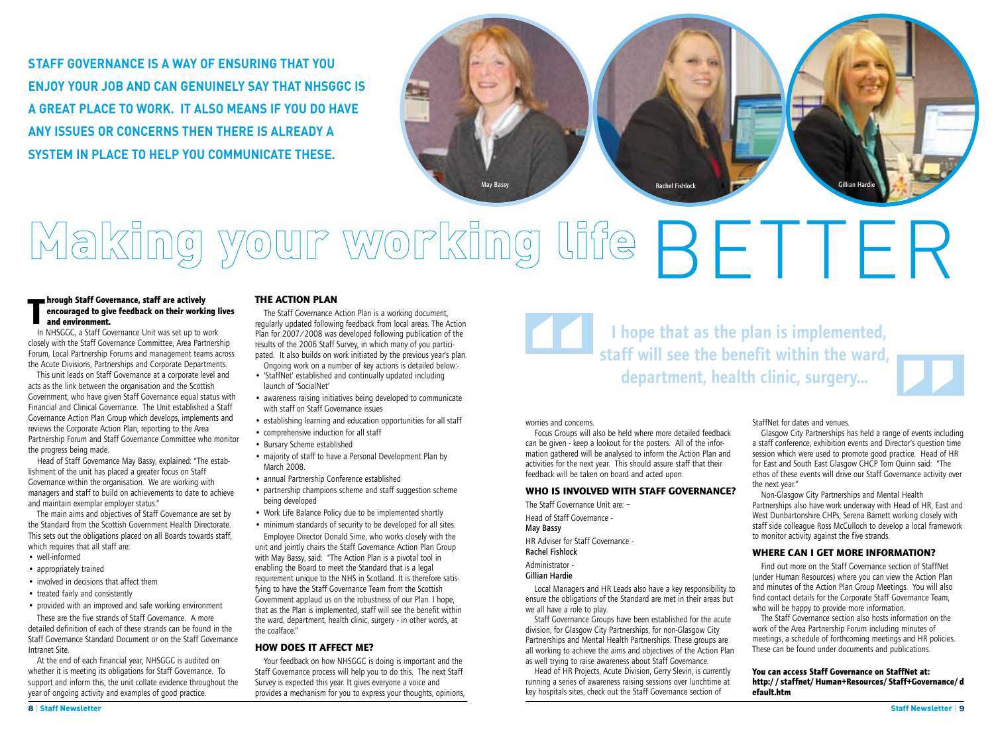**STAFF GOVERNANCE IS A WAY OF ENSURING THAT YOU ENJOY YOUR JOB AND CAN GENUINELY SAY THAT NHSGGC IS A GREAT PLACE TO WORK. IT ALSO MEANS IF YOU DO HAVE ANY ISSUES OR CONCERNS THEN THERE IS ALREADY A SYSTEM IN PLACE TO HELP YOU COMMUNICATE THESE.** 



# Making your working life BETTER

#### **Through Staff Governance, staff are actively<br>
<b>The argument and environment.**<br>
In NHSGGC a Staff Governance Unit was set up to y **encouraged to give feedback on their working lives and environment.**

In NHSGGC, a Staff Governance Unit was set up to work closely with the Staff Governance Committee, Area Partnership Forum, Local Partnership Forums and management teams across the Acute Divisions, Partnerships and Corporate Departments.

This unit leads on Staff Governance at a corporate level and acts as the link between the organisation and the Scottish Government, who have given Staff Governance equal status with Financial and Clinical Governance. The Unit established a Staff Governance Action Plan Group which develops, implements and reviews the Corporate Action Plan, reporting to the Area Partnership Forum and Staff Governance Committee who monitor the progress being made.

Head of Staff Governance May Bassy, explained: "The establishment of the unit has placed a greater focus on Staff Governance within the organisation. We are working with managers and staff to build on achievements to date to achieve and maintain exemplar employer status."

The main aims and objectives of Staff Governance are set by the Standard from the Scottish Government Health Directorate. This sets out the obligations placed on all Boards towards staff, which requires that all staff are:

- well-informed
- appropriately trained
- involved in decisions that affect them
- treated fairly and consistently
- provided with an improved and safe working environment

These are the five strands of Staff Governance. A more detailed definition of each of these strands can be found in the Staff Governance Standard Document or on the Staff Governance Intranet Site.

At the end of each financial year, NHSGGC is audited on whether it is meeting its obligations for Staff Governance. To support and inform this, the unit collate evidence throughout the year of ongoing activity and examples of good practice.

#### **THE ACTION PLAN**

The Staff Governance Action Plan is a working document, regularly updated following feedback from local areas. The Action Plan for 2007/2008 was developed following publication of the results of the 2006 Staff Survey, in which many of you participated. It also builds on work initiated by the previous year's plan. Ongoing work on a number of key actions is detailed below:-

- 'StaffNet' established and continually updated including launch of 'SocialNet'
- awareness raising initiatives being developed to communicate with staff on Staff Governance issues
- establishing learning and education opportunities for all staff
- comprehensive induction for all staff
- Bursary Scheme established
- majority of staff to have a Personal Development Plan by March 2008.
- annual Partnership Conference established
- partnership champions scheme and staff suggestion scheme being developed
- Work Life Balance Policy due to be implemented shortly
- minimum standards of security to be developed for all sites. Employee Director Donald Sime, who works closely with the

unit and jointly chairs the Staff Governance Action Plan Group with May Bassy, said: "The Action Plan is a pivotal tool in enabling the Board to meet the Standard that is a legal requirement unique to the NHS in Scotland. It is therefore satisfying to have the Staff Governance Team from the Scottish Government applaud us on the robustness of our Plan. I hope, that as the Plan is implemented, staff will see the benefit within the ward, department, health clinic, surgery - in other words, at the coalface."

#### **HOW DOES IT AFFECT ME?**

Your feedback on how NHSGGC is doing is important and the Staff Governance process will help you to do this. The next Staff Survey is expected this year. It gives everyone a voice and provides a mechanism for you to express your thoughts, opinions,

I hope that as the plan is implemented, staff will see the benefit within the ward, department, health clinic, surgery...

worries and concerns.

Focus Groups will also be held where more detailed feedback can be given - keep a lookout for the posters. All of the information gathered will be analysed to inform the Action Plan and activities for the next year. This should assure staff that their feedback will be taken on board and acted upon. Worries and concern<br>
Focus Groups wil<br>
can be given - keep

#### **WHO IS INVOLVED WITH STAFF GOVERNANCE?**

The Staff Governance Unit are: – Head of Staff Governance - May Bassy HR Adviser for Staff Governance - Rachel Fishlock Administrator - Gillian Hardie

Local Managers and HR Leads also have a key responsibility to ensure the obligations of the Standard are met in their areas but we all have a role to play.

Staff Governance Groups have been established for the acute division, for Glasgow City Partnerships, for non-Glasgow City Partnerships and Mental Health Partnerships. These groups are all working to achieve the aims and objectives of the Action Plan as well trying to raise awareness about Staff Governance.

Head of HR Projects, Acute Division, Gerry Slevin, is currently running a series of awareness raising sessions over lunchtime at key hospitals sites, check out the Staff Governance section of

StaffNet for dates and venues.

Glasgow City Partnerships has held a range of events including a staff conference, exhibition events and Director's question time session which were used to promote good practice. Head of HR for East and South East Glasgow CHCP Tom Quinn said: "The ethos of these events will drive our Staff Governance activity over the next year." e of events including<br>
ector's question time<br>
actice. Head of HR<br>
Quinn said: "The<br>
ernance activity over

Non-Glasgow City Partnerships and Mental Health Partnerships also have work underway with Head of HR, East and West Dunbartonshire CHPs, Serena Barnett working closely with staff side colleague Ross McCulloch to develop a local framework to monitor activity against the five strands.

#### **WHERE CAN I GET MORE INFORMATION?**

Find out more on the Staff Governance section of StaffNet (under Human Resources) where you can view the Action Plan and minutes of the Action Plan Group Meetings. You will also find contact details for the Corporate Staff Governance Team, who will be happy to provide more information.

The Staff Governance section also hosts information on the work of the Area Partnership Forum including minutes of meetings, a schedule of forthcoming meetings and HR policies. These can be found under documents and publications.

**You can access Staff Governance on StaffNet at: http://staffnet/Human+Resources/Staff+Governance/d efault.htm**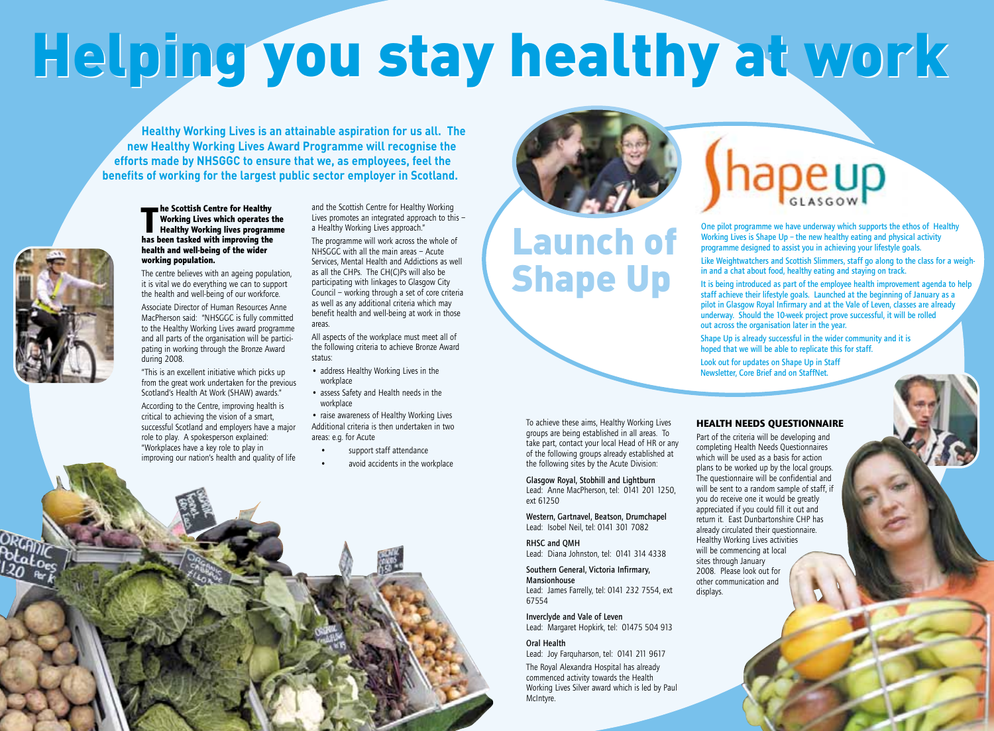# Helping you stay healthy at work

**Healthy Working Lives is an attainable aspiration for us all. The new Healthy Working Lives Award Programme will recognise the efforts made by NHSGGC to ensure that we, as employees, feel the benefits of working for the largest public sector employer in Scotland.**



#### **The Scottish Centre for Healthy<br>
Morking Lives which operates<br>
Healthy Working lives program<br>
has been tasked with improving the Working Lives which operates the Healthy Working lives programme health and well-being of the wider working population.**

The centre believes with an ageing population, it is vital we do everything we can to support the health and well-being of our workforce.

Associate Director of Human Resources Anne MacPherson said: "NHSGGC is fully committed to the Healthy Working Lives award programme and all parts of the organisation will be participating in working through the Bronze Award during 2008.

"This is an excellent initiative which picks up from the great work undertaken for the previous Scotland's Health At Work (SHAW) awards."

According to the Centre, improving health is critical to achieving the vision of a smart, successful Scotland and employers have a major role to play. A spokesperson explained: "Workplaces have a key role to play in improving our nation's health and quality of life

and the Scottish Centre for Healthy Working Lives promotes an integrated approach to this – a Healthy Working Lives approach."

The programme will work across the whole of NHSGGC with all the main areas – Acute Services, Mental Health and Addictions as well as all the CHPs. The CH(C)Ps will also be participating with linkages to Glasgow City Council – working through a set of core criteria as well as any additional criteria which may benefit health and well-being at work in those areas.

All aspects of the workplace must meet all of the following criteria to achieve Bronze Award status:

- address Healthy Working Lives in the workplace
- assess Safety and Health needs in the workplace

• raise awareness of Healthy Working Lives Additional criteria is then undertaken in two areas: e.g. for Acute

• support staff attendance avoid accidents in the workplace



# Launch of Shape Up

To achieve these aims, Healthy Working Lives groups are being established in all areas. To take part, contact your local Head of HR or any of the following groups already established at the following sites by the Acute Division: Glasgow Royal, Stobhill and Lightburn Lead: Anne MacPherson, tel: 0141 201 1250,

Western, Gartnavel, Beatson, Drumchapel Lead: Isobel Neil, tel: 0141 301 7082

Lead: Diana Johnston, tel: 0141 314 4338 Southern General, Victoria Infirmary,

Lead: James Farrelly, tel: 0141 232 7554, ext

Lead: Margaret Hopkirk, tel: 01475 504 913

Lead: Joy Farquharson, tel: 0141 211 9617 The Royal Alexandra Hospital has already commenced activity towards the Health Working Lives Silver award which is led by Paul

Inverclyde and Vale of Leven

ext 61250

RHSC and QMH

Mansionhouse

Oral Health

McIntyre.

67554

# Shapeup

One pilot programme we have underway which supports the ethos of Healthy Working Lives is Shape Up – the new healthy eating and physical activity programme designed to assist you in achieving your lifestyle goals.

Like Weightwatchers and Scottish Slimmers, staff go along to the class for a weighin and a chat about food, healthy eating and staying on track.

It is being introduced as part of the employee health improvement agenda to help staff achieve their lifestyle goals. Launched at the beginning of January as a pilot in Glasgow Royal Infirmary and at the Vale of Leven, classes are already underway. Should the 10-week project prove successful, it will be rolled out across the organisation later in the year.

Shape Up is already successful in the wider community and it is hoped that we will be able to replicate this for staff.

Look out for updates on Shape Up in Staff Newsletter, Core Brief and on StaffNet.

#### **HEALTH NEEDS QUESTIONNAIRE**

Part of the criteria will be developing and completing Health Needs Questionnaires which will be used as a basis for action plans to be worked up by the local groups. The questionnaire will be confidential and will be sent to a random sample of staff, if you do receive one it would be greatly appreciated if you could fill it out and return it. East Dunbartonshire CHP has already circulated their questionnaire. Healthy Working Lives activities will be commencing at local sites through January 2008. Please look out for other communication and displays.

# **10** | Staff Newsletter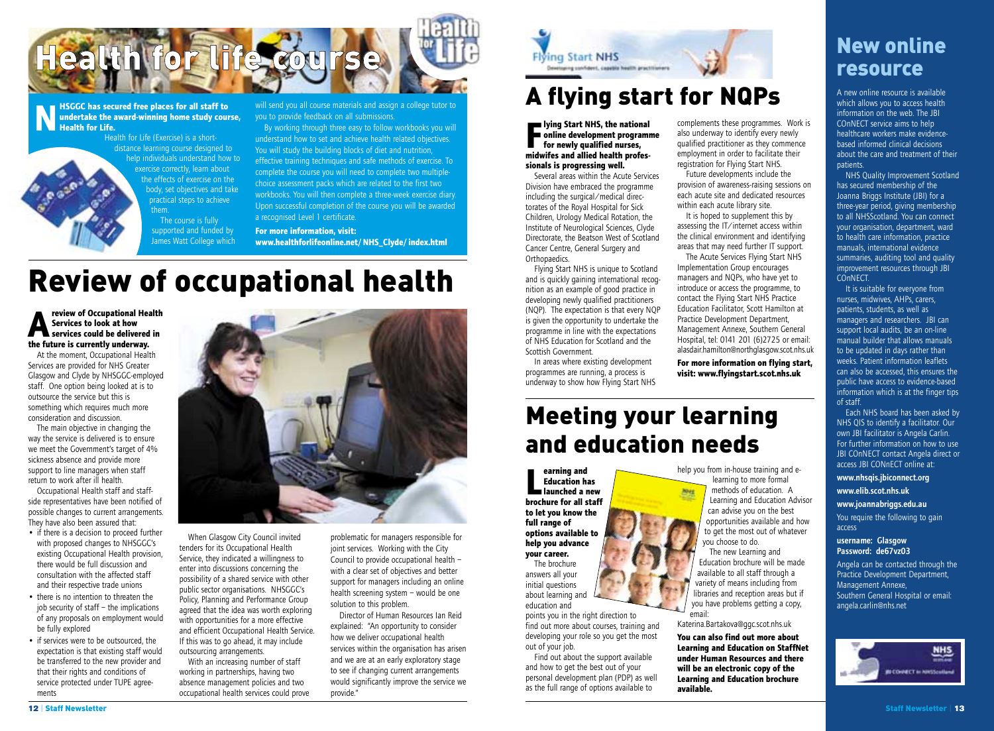

#### **N HSGGC has secured free places for all staff to<br>
<b>N undertake the award-winning home study cou**<br> **Health for Life.**<br>
Health for Life (Exercise) is a short**undertake the award-winning home study course, Health for Life.**

Health for Life (Exercise) is a shortdistance learning course designed to help individuals understand how to exercise correctly, learn about the effects of exercise on the body, set objectives and take practical steps to achieve them. The course is fully supported and funded by

James Watt College which

will send you all course materials and assign a college tutor to you to provide feedback on all submissions.

By working through three easy to follow workbooks you will understand how to set and achieve health related objectives. You will study the building blocks of diet and nutrition, effective training techniques and safe methods of exercise. To complete the course you will need to complete two multiplechoice assessment packs which are related to the first two workbooks. You will then complete a three-week exercise diary. Upon successful completion of the course you will be awarded a recognised Level 1 certificate.

**For more information, visit: www.healthforlifeonline.net/NHS\_Clyde/index.html**

# Review of occupational health

#### **Algebeur of Occupational Health**<br> **A** Services to look at how<br> **Services could be delivered in**<br> **the future is currently underway. Services to look at how the future is currently underway.**

At the moment, Occupational Health Services are provided for NHS Greater Glasgow and Clyde by NHSGGC-employed staff. One option being looked at is to outsource the service but this is something which requires much more consideration and discussion.

The main objective in changing the way the service is delivered is to ensure we meet the Government's target of 4% sickness absence and provide more support to line managers when staff return to work after ill health.

Occupational Health staff and staffside representatives have been notified of possible changes to current arrangements. They have also been assured that:

- if there is a decision to proceed further with proposed changes to NHSGGC's existing Occupational Health provision, there would be full discussion and consultation with the affected staff and their respective trade unions
- there is no intention to threaten the job security of staff – the implications of any proposals on employment would be fully explored
- if services were to be outsourced, the expectation is that existing staff would be transferred to the new provider and that their rights and conditions of service protected under TUPE agreements



When Glasgow City Council invited tenders for its Occupational Health Service, they indicated a willingness to enter into discussions concerning the possibility of a shared service with other public sector organisations. NHSGGC's Policy, Planning and Performance Group agreed that the idea was worth exploring with opportunities for a more effective and efficient Occupational Health Service. If this was to go ahead, it may include outsourcing arrangements.

With an increasing number of staff working in partnerships, having two absence management policies and two occupational health services could prove



Director of Human Resources Ian Reid explained: "An opportunity to consider how we deliver occupational health services within the organisation has arisen and we are at an early exploratory stage to see if changing current arrangements would significantly improve the service we provide."



# A flying start for NQPs

#### From Start N13, the national<br>online development program<br>for newly qualified nurses,<br>midwifes and allied health profes**lying Start NHS, the national online development programme for newly qualified nurses, sionals is progressing well.**

Several areas within the Acute Services Division have embraced the programme including the surgical/medical directorates of the Royal Hospital for Sick Children, Urology Medical Rotation, the Institute of Neurological Sciences, Clyde Directorate, the Beatson West of Scotland Cancer Centre, General Surgery and Orthopaedics.

Flying Start NHS is unique to Scotland and is quickly gaining international recognition as an example of good practice in developing newly qualified practitioners (NQP). The expectation is that every NQP is given the opportunity to undertake the programme in line with the expectations of NHS Education for Scotland and the Scottish Government.

In areas where existing development programmes are running, a process is underway to show how Flying Start NHS

# Meeting your learning and education needs

**L**<br> **Education has**<br> **brochure for all staff earning and Education has launched a new to let you know the full range of options available to help you advance your career.** The brochure answers all your

initial questions about learning and education and

points you in the right direction to find out more about courses, training and developing your role so you get the most out of your job.

Find out about the support available and how to get the best out of your personal development plan (PDP) as well as the full range of options available to

complements these programmes. Work is also underway to identify every newly qualified practitioner as they commence employment in order to facilitate their registration for Flying Start NHS.

Future developments include the provision of awareness-raising sessions on each acute site and dedicated resources within each acute library site.

It is hoped to supplement this by assessing the IT/internet access within the clinical environment and identifying areas that may need further IT support. The Acute Services Flying Start NHS

Implementation Group encourages managers and NQPs, who have yet to introduce or access the programme, to contact the Flying Start NHS Practice Education Facilitator, Scott Hamilton at Practice Development Department, Management Annexe, Southern General Hospital, tel: 0141 201 (6)2725 or email: alasdair.hamilton@northglasgow.scot.nhs.uk

**For more information on flying start, visit: www.flyingstart.scot.nhs.uk**

help you from in-house training and elearning to more formal methods of education. A Learning and Education Advisor can advise you on the best opportunities available and how to get the most out of whatever access

The new Learning and Education brochure will be made available to all staff through a variety of means including from libraries and reception areas but if you have problems getting a copy, email:

Katerina.Bartakova@ggc.scot.nhs.uk

you choose to do.

**You can also find out more about Learning and Education on StaffNet under Human Resources and there will be an electronic copy of the Learning and Education brochure available.**

# New online resource

A new online resource is available which allows you to access health information on the web. The JBI COnNECT service aims to help healthcare workers make evidencebased informed clinical decisions about the care and treatment of their patients.

NHS Quality Improvement Scotland has secured membership of the Joanna Briggs Institute (JBI) for a three-year period, giving membership to all NHSScotland. You can connect your organisation, department, ward to health care information, practice manuals, international evidence summaries, auditing tool and quality improvement resources through JBI COnNECT.

It is suitable for everyone from nurses, midwives, AHPs, carers, patients, students, as well as managers and researchers. JBI can support local audits, be an on-line manual builder that allows manuals to be updated in days rather than weeks. Patient information leaflets can also be accessed, this ensures the public have access to evidence-based information which is at the finger tips of staff.

Each NHS board has been asked by NHS QIS to identify a facilitator. Our own JBI facilitator is Angela Carlin. For further information on how to use JBI COnNECT contact Angela direct or access JBI CONnECT online at:

www.nhsqis.jbiconnect.org

www.elib.scot.nhs.uk

#### www.joannabriggs.edu.au

You require the following to gain

#### username: Glasgow Password: de67vz03

Angela can be contacted through the Practice Development Department, Management Annexe, Southern General Hospital or email: angela.carlin@nhs.net

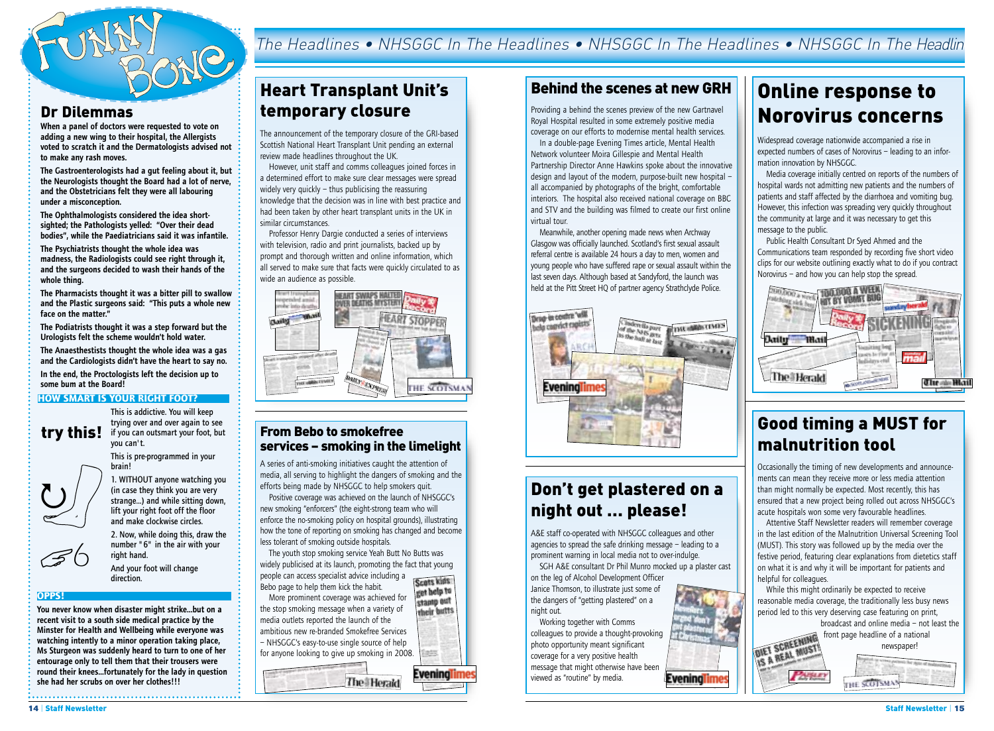

#### Dr Dilemmas

When a panel of doctors were requested to vote on adding a new wing to their hospital, the Allergists voted to scratch it and the Dermatologists advised not to make any rash moves.

The Gastroenterologists had a gut feeling about it, but the Neurologists thought the Board had a lot of nerve, and the Obstetricians felt they were all labouring under a misconception.

The Ophthalmologists considered the idea shortsighted; the Pathologists yelled: "Over their dead bodies", while the Paediatricians said it was infantile.

The Psychiatrists thought the whole idea was madness, the Radiologists could see right through it, and the surgeons decided to wash their hands of the whole thing.

The Pharmacists thought it was a bitter pill to swallow and the Plastic surgeons said: "This puts a whole new face on the matter."

The Podiatrists thought it was a step forward but the Urologists felt the scheme wouldn't hold water.

The Anaesthestists thought the whole idea was a gas and the Cardiologists didn't have the heart to say no. In the end, the Proctologists left the decision up to

#### **HOW SMART IS YOUR RIGHT FOOT?**

some bum at the Board!

trying over and over again to see  $\mathbf{try}\ \mathbf{this!}\ \ \substack{\text{if you can out smart your foot, but}}$ you can't.

This is addictive. You will keep

This is pre-programmed in your brain!



*6*

1. WITHOUT anyone watching you (in case they think you are very strange…) and while sitting down, lift your right foot off the floor and make clockwise circles.

2. Now, while doing this, draw the number "6" in the air with your right hand.

And your foot will change direction.

#### **OPPS!**

 $\mathcal{Z}$ 

You never know when disaster might strike…but on a recent visit to a south side medical practice by the Minster for Health and Wellbeing while everyone was watching intently to a minor operation taking place, Ms Sturgeon was suddenly heard to turn to one of her entourage only to tell them that their trousers were round their knees…fortunately for the lady in question she had her scrubs on over her clothes!!!

## The Headlines • NHSGGC In The Headlines • NHSGGC In The Headlines • NHSGGC In The Headlin

## Heart Transplant Unit's temporary closure

The announcement of the temporary closure of the GRI-based Scottish National Heart Transplant Unit pending an external review made headlines throughout the UK.

However, unit staff and comms colleagues joined forces in a determined effort to make sure clear messages were spread widely very quickly – thus publicising the reassuring knowledge that the decision was in line with best practice and had been taken by other heart transplant units in the UK in similar circumstances.

Professor Henry Dargie conducted a series of interviews with television, radio and print journalists, backed up by prompt and thorough written and online information, which all served to make sure that facts were quickly circulated to as wide an audience as possible.



#### From Bebo to smokefree services – smoking in the limelight

A series of anti-smoking initiatives caught the attention of media, all serving to highlight the dangers of smoking and the efforts being made by NHSGGC to help smokers quit.

Positive coverage was achieved on the launch of NHSGGC's new smoking "enforcers" (the eight-strong team who will enforce the no-smoking policy on hospital grounds), illustrating how the tone of reporting on smoking has changed and become less tolerant of smoking outside hospitals.

The youth stop smoking service Yeah Butt No Butts was widely publicised at its launch, promoting the fact that young people can access specialist advice including a

Scots kids Bebo page to help them kick the habit. get help to More prominent coverage was achieved for stamp out the stop smoking message when a variety of their butts media outlets reported the launch of the ambitious new re-branded Smokefree Services – NHSGGC's easy-to-use single source of help

for anyone looking to give up smoking in 2008. Eveninal **The Herald** 

#### Behind the scenes at new GRH

Providing a behind the scenes preview of the new Gartnavel Royal Hospital resulted in some extremely positive media coverage on our efforts to modernise mental health services.

In a double-page Evening Times article, Mental Health Network volunteer Moira Gillespie and Mental Health Partnership Director Anne Hawkins spoke about the innovative design and layout of the modern, purpose-built new hospital – all accompanied by photographs of the bright, comfortable interiors. The hospital also received national coverage on BBC and STV and the building was filmed to create our first online virtual tour.

Meanwhile, another opening made news when Archway Glasgow was officially launched. Scotland's first sexual assault referral centre is available 24 hours a day to men, women and young people who have suffered rape or sexual assault within the last seven days. Although based at Sandyford, the launch was held at the Pitt Street HO of partner agency Strathclyde Police.



## Don't get plastered on a night out … please!

A&E staff co-operated with NHSGGC colleagues and other agencies to spread the safe drinking message – leading to a prominent warning in local media not to over-indulge.

SGH A&E consultant Dr Phil Munro mocked up a plaster cast on the leg of Alcohol Development Officer Janice Thomson, to illustrate just some of

the dangers of "getting plastered" on a night out.

Working together with Comms colleagues to provide a thought-provoking photo opportunity meant significant coverage for a very positive health message that might otherwise have been viewed as "routine" by media.

# Online response to Norovirus concerns

Widespread coverage nationwide accompanied a rise in expected numbers of cases of Norovirus – leading to an information innovation by NHSGGC.

Media coverage initially centred on reports of the numbers of hospital wards not admitting new patients and the numbers of patients and staff affected by the diarrhoea and vomiting bug. However, this infection was spreading very quickly throughout the community at large and it was necessary to get this message to the public.

Public Health Consultant Dr Syed Ahmed and the Communications team responded by recording five short video clips for our website outlining exactly what to do if you contract Norovirus – and how you can help stop the spread.



### Good timing a MUST for malnutrition tool

Occasionally the timing of new developments and announcements can mean they receive more or less media attention than might normally be expected. Most recently, this has ensured that a new project being rolled out across NHSGGC's acute hospitals won some very favourable headlines.

Attentive Staff Newsletter readers will remember coverage in the last edition of the Malnutrition Universal Screening Tool (MUST). This story was followed up by the media over the festive period, featuring clear explanations from dietetics staff on what it is and why it will be important for patients and helpful for colleagues.

While this might ordinarily be expected to receive reasonable media coverage, the traditionally less busy news period led to this very deserving case featuring on print, broadcast and online media – not least the

front page headline of a national SCREENING **SCREENINGT** newspaper!

THE SCOTSM



**Evening**